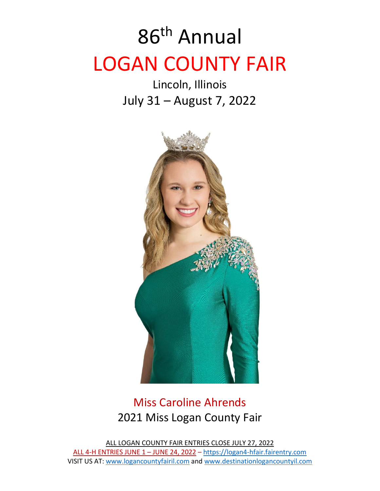# 86 th Annual LOGAN COUNTY FAIR

Lincoln, Illinois July 31 – August 7, 2022



### Miss Caroline Ahrends 2021 Miss Logan County Fair

ALL LOGAN COUNTY FAIR ENTRIES CLOSE JULY 27, 2022 ALL 4-H ENTRIES JUNE 1 – JUNE 24, 2022 – [https://logan4-hfair.fairentry.com](https://logan4-hfair.fairentry.com/) VISIT US AT: [www.logancountyfairil.com](http://www.logancountyfairil.com/) and [www.destinationlogancountyil.com](http://www.destinationlogancountyil.com/)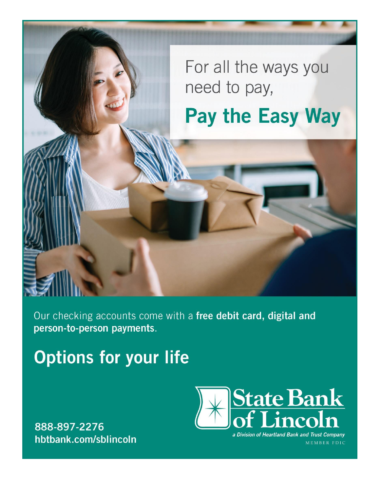For all the ways you need to pay,

## Pay the Easy Way

Our checking accounts come with a free debit card, digital and person-to-person payments.

## **Options for your life**

888-897-2276 hbtbank.com/sblincoln



a Division of Heartland Bank and Trust Company MEMBER FDIC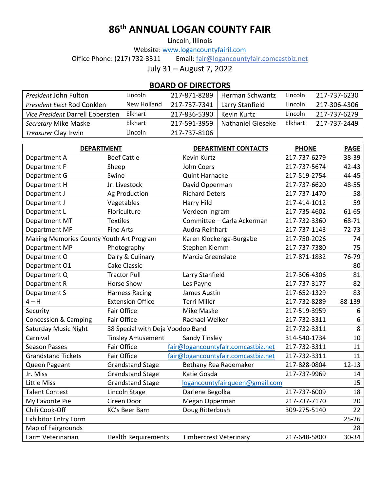### **86 th ANNUAL LOGAN COUNTY FAIR**

Lincoln, Illinois

Website[: www.logancountyfairil.com](http://www.logancountyfairil.com/)<br>Office Phone: (217) 732-3311 Email: fair@logancount Email: [fair@logancountyfair.comcastbiz.net](mailto:fair@logancountyfair.comcastbiz.net)

July 31 – August 7, 2022

#### **BOARD OF DIRECTORS**

| <i>President John Fulton</i>     | Lincoln     | 217-871-8289 | Herman Schwantz   | Lincoln | 217-737-6230 |
|----------------------------------|-------------|--------------|-------------------|---------|--------------|
| President Elect Rod Conklen      | New Holland | 217-737-7341 | Larry Stanfield   | Lincoln | 217-306-4306 |
| Vice President Darrell Ebbersten | Elkhart     | 217-836-5390 | Kevin Kurtz       | Lincoln | 217-737-6279 |
| Secretary Mike Maske             | Elkhart     | 217-591-3959 | Nathaniel Gieseke | Elkhart | 217-737-2449 |
| <i>Treasurer</i> Clay Irwin      | Lincoln     | 217-737-8106 |                   |         |              |

| <b>DEPARTMENT</b>                        |                                  | <b>DEPARTMENT CONTACTS</b>          | <b>PHONE</b> | <b>PAGE</b> |
|------------------------------------------|----------------------------------|-------------------------------------|--------------|-------------|
| Department A                             | <b>Beef Cattle</b>               | Kevin Kurtz                         | 217-737-6279 | 38-39       |
| Department F                             | Sheep                            | John Coers                          | 217-737-5674 | 42-43       |
| Department G                             | Swine                            | <b>Quint Harnacke</b>               | 217-519-2754 | 44-45       |
| Department H                             | Jr. Livestock                    | David Opperman                      | 217-737-6620 | 48-55       |
| Department J                             | Ag Production                    | <b>Richard Deters</b>               | 217-737-1470 | 58          |
| Department J                             | Vegetables                       | Harry Hild                          | 217-414-1012 | 59          |
| Department L                             | Floriculture                     | Verdeen Ingram                      | 217-735-4602 | 61-65       |
| Department MT                            | <b>Textiles</b>                  | Committee - Carla Ackerman          | 217-732-3360 | 68-71       |
| Department MF                            | <b>Fine Arts</b>                 | Audra Reinhart                      | 217-737-1143 | $72 - 73$   |
| Making Memories County Youth Art Program |                                  | Karen Klockenga-Burgabe             | 217-750-2026 | 74          |
| Department MP                            | Photography                      | Stephen Klemm                       | 217-737-7380 | 75          |
| Department O                             | Dairy & Culinary                 | Marcia Greenslate                   | 217-871-1832 | 76-79       |
| Department O1                            | <b>Cake Classic</b>              |                                     |              | 80          |
| Department Q                             | <b>Tractor Pull</b>              | Larry Stanfield                     | 217-306-4306 | 81          |
| Department R                             | <b>Horse Show</b>                | Les Payne                           | 217-737-3177 | 82          |
| Department S                             | <b>Harness Racing</b>            | James Austin                        | 217-652-1329 | 83          |
| $4 - H$                                  | <b>Extension Office</b>          | <b>Terri Miller</b>                 | 217-732-8289 | 88-139      |
| Security                                 | Fair Office                      | Mike Maske                          | 217-519-3959 | 6           |
| <b>Concession &amp; Camping</b>          | Fair Office                      | Rachael Welker                      | 217-732-3311 | $6\,$       |
| <b>Saturday Music Night</b>              | 38 Special with Deja Voodoo Band |                                     | 217-732-3311 | 8           |
| Carnival                                 | <b>Tinsley Amusement</b>         | Sandy Tinsley                       | 314-540-1734 | 10          |
| <b>Season Passes</b>                     | Fair Office                      | fair@logancountyfair.comcastbiz.net | 217-732-3311 | 11          |
| <b>Grandstand Tickets</b>                | <b>Fair Office</b>               | fair@logancountyfair.comcastbiz.net | 217-732-3311 | 11          |
| Queen Pageant                            | <b>Grandstand Stage</b>          | Bethany Rea Rademaker               | 217-828-0804 | $12 - 13$   |
| Jr. Miss                                 | <b>Grandstand Stage</b>          | Katie Gosda                         | 217-737-9969 | 14          |
| Little Miss                              | <b>Grandstand Stage</b>          | logancountyfairqueen@gmail.com      |              | 15          |
| <b>Talent Contest</b>                    | Lincoln Stage                    | Darlene Begolka                     | 217-737-6009 | 18          |
| My Favorite Pie                          | Green Door                       | Megan Opperman                      | 217-737-7170 | 20          |
| Chili Cook-Off                           | KC's Beer Barn                   | Doug Ritterbush                     | 309-275-5140 | 22          |
| <b>Exhibitor Entry Form</b>              |                                  |                                     |              | $25 - 26$   |
| Map of Fairgrounds                       |                                  |                                     |              | 28          |
| Farm Veterinarian                        | <b>Health Requirements</b>       | <b>Timbercrest Veterinary</b>       | 217-648-5800 | 30-34       |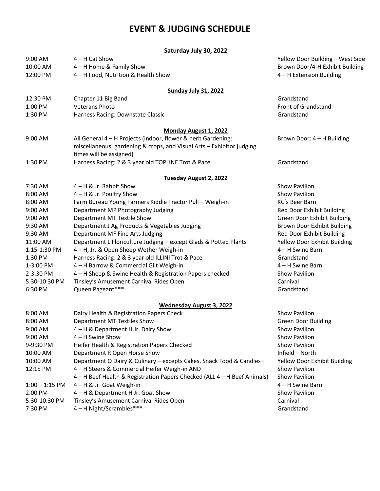#### **EVENT & JUDGING SCHEDULE**

|                  | Saturday July 30, 2022                                                   |                                  |  |
|------------------|--------------------------------------------------------------------------|----------------------------------|--|
| 9:00 AM          | $4 - H$ Cat Show                                                         | Yellow Door Building - West Side |  |
| 10:00 AM         | 4 - H Home & Family Show                                                 | Brown Door/4-H Exhibit Building  |  |
| 12:00 PM         | 4 - H Food, Nutrition & Health Show                                      | 4 - H Extension Building         |  |
|                  | <b>Sunday July 31, 2022</b>                                              |                                  |  |
| 12:30 PM         | Chapter 11 Big Band                                                      | Grandstand                       |  |
| 1:00 PM          | <b>Veterans Photo</b>                                                    | Front of Grandstand              |  |
| 1:30 PM          | Harness Racing: Downstate Classic                                        | Grandstand                       |  |
|                  | <b>Monday August 1, 2022</b>                                             |                                  |  |
| 9:00 AM          | All General 4 - H Projects (indoor, flower & herb Gardening:             | Brown Door: 4 - H Building       |  |
|                  | miscellaneous; gardening & crops, and Visual Arts - Exhibitor judging    |                                  |  |
|                  | times will be assigned)                                                  |                                  |  |
| 1:30 PM          | Harness Racing: 2 & 3 year old TOPLINE Trot & Pace                       | Grandstand                       |  |
|                  | Tuesday August 2, 2022                                                   |                                  |  |
| 7:30 AM          | $4 - H$ & Jr. Rabbit Show                                                | Show Pavilion                    |  |
| 8:00 AM          | 4 – H & Jr. Poultry Show                                                 | <b>Show Pavilion</b>             |  |
| 8:00 AM          | Farm Bureau Young Farmers Kiddie Tractor Pull - Weigh-in                 | KC's Beer Barn                   |  |
| 9:00 AM          | Department MP Photography Judging                                        | Red Door Exhibit Building        |  |
| 9:00 AM          | Department MT Textile Show                                               | Green Door Exhibit Building      |  |
| 9:30 AM          | Department J Ag Products & Vegetables Judging                            | Brown Door Exhibit Building      |  |
| 9:30 AM          | Department MF Fine Arts Judging                                          | Red Door Exhibit Building        |  |
| 11:00 AM         | Department L Floriculture Judging - except Glads & Potted Plants         | Yellow Door Exhibit Building     |  |
| 1:15-1:30 PM     | 4 - H, Jr. & Open Sheep Wether Weigh-in                                  | 4 – H Swine Barn                 |  |
| 1:30 PM          | Harness Racing: 2 & 3 year old ILLINI Trot & Pace                        | Grandstand                       |  |
| 1-3:00 PM        | 4 - H Barrow & Commercial Gilt Weigh-in                                  | 4 - H Swine Barn                 |  |
| 2-3:30 PM        | 4 - H Sheep & Swine Health & Registration Papers checked                 | Show Pavilion                    |  |
| 5:30-10:30 PM    | Tinsley's Amusement Carnival Rides Open                                  | Carnival                         |  |
| 6:30 PM          | Queen Pageant***                                                         | Grandstand                       |  |
|                  | <b>Wednesday August 3, 2022</b>                                          |                                  |  |
| 8:00 AM          | Dairy Health & Registration Papers Check                                 | <b>Show Pavilion</b>             |  |
| 8:00 AM          | Department MT Textiles Show                                              | <b>Green Door Building</b>       |  |
| 9:00 AM          | 4 – H & Department H Jr. Dairy Show                                      | <b>Show Pavilion</b>             |  |
| 9:00 AM          | 4 - H Swine Show                                                         | Show Pavilion                    |  |
| 9-9:30 PM        | Heifer Health & Registration Papers Checked                              | <b>Show Pavilion</b>             |  |
| 10:00 AM         | Department R Open Horse Show                                             | Infield - North                  |  |
| 10:00 AM         | Department O Dairy & Culinary - excepts Cakes, Snack Food & Candies      | Yellow Door Exhibit Building     |  |
| 12:15 PM         | 4 - H Steers & Commercial Heifer Weigh-in AND                            | <b>Show Pavilion</b>             |  |
|                  | 4 – H Beef Health & Registration Papers Checked (ALL 4 – H Beef Animals) | Show Pavilion                    |  |
| $1:00 - 1:15$ PM | 4 – H & Jr. Goat Weigh-in                                                | 4 – H Swine Barn                 |  |
| 2:00 PM          | 4 - H & Department H Jr. Goat Show                                       | <b>Show Pavilion</b>             |  |
| 5:30-10:30 PM    | Tinsley's Amusement Carnival Rides Open                                  | Carnival                         |  |
| 7:30 PM          | 4 - H Night/Scrambles***                                                 | Grandstand                       |  |